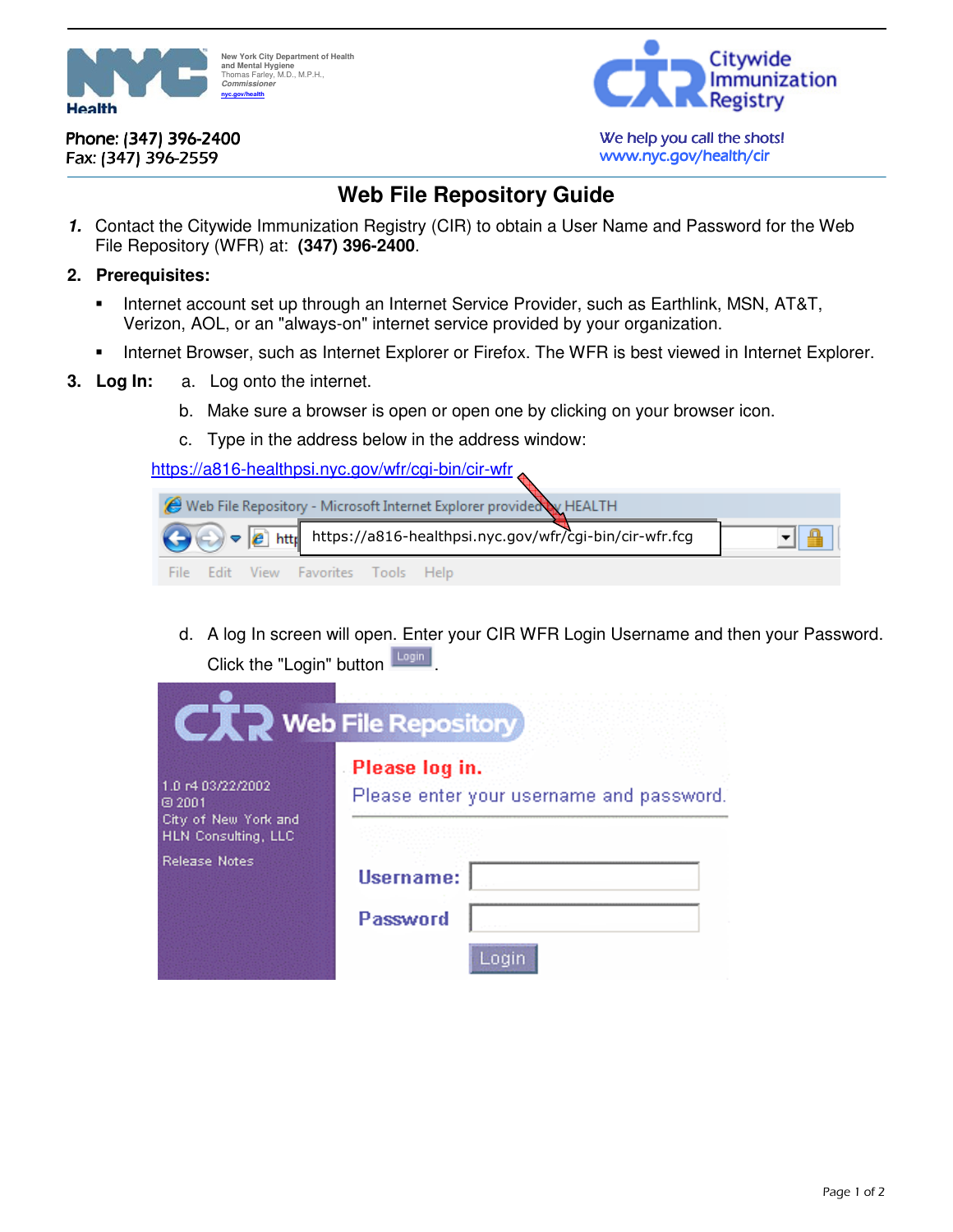

**New York City Department of Health and Mental Hygiene**  Thomas Farley, M.D., M.P.H., **Commissioner** nyc.gov/health



### Phone: (347) 396-2400 Fax: (347) 396-2559

We help you call the shots! www.nyc.gov/health/cir

# **Web File Repository Guide**

**1.** Contact the Citywide Immunization Registry (CIR) to obtain a User Name and Password for the Web File Repository (WFR) at: **(347) 396-2400**.

#### **2. Prerequisites:**

- **Internet account set up through an Internet Service Provider, such as Earthlink, MSN, AT&T,** Verizon, AOL, or an "always-on" internet service provided by your organization.
- **Internet Browser, such as Internet Explorer or Firefox. The WFR is best viewed in Internet Explorer.**
- **3. Log In:** a. Log onto the internet.
	- b. Make sure a browser is open or open one by clicking on your browser icon.
	- c. Type in the address below in the address window:

https://a816-healthpsi.nyc.gov/wfr/cgi-bin/cir-wfr

|  |                                     | Web File Repository - Microsoft Internet Explorer provided by HEALTH                                     |  |
|--|-------------------------------------|----------------------------------------------------------------------------------------------------------|--|
|  |                                     | $\bullet$ $\bullet$ $\bullet$ $\bullet$ $\bullet$ https://a816-healthpsi.nyc.gov/wfr/cgi-bin/cir-wfr.fcg |  |
|  | File Edit View Favorites Tools Help |                                                                                                          |  |

d. A log In screen will open. Enter your CIR WFR Login Username and then your Password. Click the "Login" button  $\frac{Login}{\Box}$ 

|                                                    | $\Box$ Web File Repository                                   |
|----------------------------------------------------|--------------------------------------------------------------|
| 1.0 r4 03/22/2002<br>$\Theta$ 2001                 | . Please log in.<br>Please enter your username and password. |
| City of New York and<br><b>HLN Consulting, LLC</b> |                                                              |
| <b>Release Notes</b>                               | Username:                                                    |
|                                                    | Password                                                     |
|                                                    | Loain                                                        |